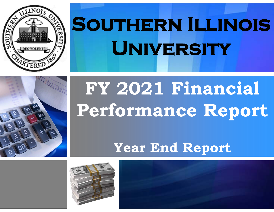

# **Southern Illinois University**



## **FY 2021 Financial Performance Report**

**Year End Report**



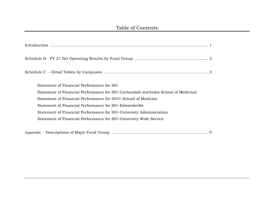| Statement of Financial Performance for SIU                                          |
|-------------------------------------------------------------------------------------|
| Statement of Financial Performance for SIU-Carbondale (excludes School of Medicine) |
| Statement of Financial Performance for SIUC-School of Medicine                      |
| Statement of Financial Performance for SIU-Edwardsville                             |
| Statement of Financial Performance for SIU-University Administration                |
| Statement of Financial Performance for SIU-University Wide Service                  |
|                                                                                     |
|                                                                                     |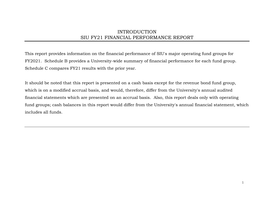## INTRODUCTION SIU FY21 FINANCIAL PERFORMANCE REPORT

This report provides information on the financial performance of SIU's major operating fund groups for FY2021. Schedule B provides a University-wide summary of financial performance for each fund group. Schedule C compares FY21 results with the prior year.

It should be noted that this report is presented on a cash basis except for the revenue bond fund group, which is on a modified accrual basis, and would, therefore, differ from the University's annual audited financial statements which are presented on an accrual basis. Also, this report deals only with operating fund groups; cash balances in this report would differ from the University's annual financial statement, which includes all funds.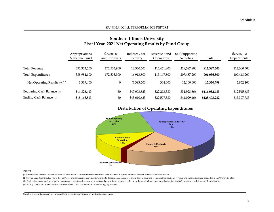|                               | --------- <b>n</b>              |                               |                                  |                            |                               |               |                            |
|-------------------------------|---------------------------------|-------------------------------|----------------------------------|----------------------------|-------------------------------|---------------|----------------------------|
|                               | Appropriations<br>& Income Fund | Grants $(1)$<br>and Contracts | <b>Indirect Cost</b><br>Recovery | Revenue Bond<br>Operations | Self-Supporting<br>Activities | Total         | Service (2)<br>Departments |
| <b>Total Revenue</b>          | 392,323,500                     | 172,503,900                   | 13,520,600                       | 115,451,800                | 219,587,800                   | 913,387,600   | 112,300,300                |
| Total Expenditures            | 388,984,100                     | 172,503,900                   | 16,913,800                       | 115,147,800                | 207,487,200                   | 901.036.800   | 109,448,200                |
| Net Operating Results $(+/-)$ | 3,339,400                       | $\theta$                      | (3,393,200)                      | 304,000                    | 12,100,600                    | 12.350.799    | 2,852,100                  |
| Beginning Cash Balance (3)    | \$14,826,413                    | \$0                           | \$47,003,823                     | \$22,293,380               | \$31,928,866                  | \$116,052,483 | \$12,545,685               |
| Ending Cash Balance (4)       | \$18,165,813                    | \$0                           | \$43,610,623                     | \$22,597,380               | \$44,029,466                  | \$128,403,282 | \$15,397,785               |

## **Southern Illinois University Fiscal Year 2021 Net Operating Results by Fund Group**

## **Distribution of Operating Expenditures**



#### Note:

(1) Grants and Contracts - Revenues received from external sources match expenditures over the life of the grant, therefore the cash balance is reflected as zero.

(2) Service Departments act as " flow through" accounts for services provided to University departments. In order to avoid double-counting of financial transactions, revenue and expenditures are not added to the University

(3) Cash balances are used for ongoing operational costs of academic/support units and expenditures are restricted in accordance with bond covenants, Legislative Audit Commission guidelines and Illinois Statute.

(4) Ending Cash is unaudited and has not been adjusted for transfers or other accounting adjustments.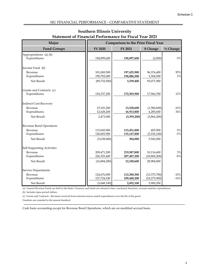| Major                                  |                            | <b>Comparison to the Prior Fiscal Year</b> |                         |             |  |
|----------------------------------------|----------------------------|--------------------------------------------|-------------------------|-------------|--|
| <b>Fund Groups</b>                     | FY 2020                    | FY 2021                                    | \$ Change               | $\%$ Change |  |
| Appropriations (a) (b)<br>Expenditures | 194,899,600                | 194,897,600                                | (2,000)                 | $0\%$       |  |
| Income Fund (b)                        |                            |                                            |                         |             |  |
| Revenue<br>Expenditures                | 101,049,500<br>190,782,000 | 197,425,900<br>194,086,500                 | 96,376,400<br>3,304,500 | 95%<br>2%   |  |
| Net Result                             | (89, 732, 500)             | 3,339,400                                  | 93,071,900              |             |  |
| Grants and Contracts (c)               |                            |                                            |                         |             |  |
| Expenditures                           | 154,537,200                | 172,503,900                                | 17,966,700              | 12%         |  |
| <b>Indirect Cost Recovery</b>          |                            |                                            |                         |             |  |
| Revenue                                | 15,101,200                 | 13,520,600                                 | (1,580,600)             | $-10%$      |  |
| Expenditures                           | 12,628,200                 | 16,913,800                                 | 4,285,600               | 34%         |  |
| Net Result                             | 2,473,000                  | (3,393,200)                                | (5,866,200)             |             |  |
| Revenue Bond Operations                |                            |                                            |                         |             |  |
| Revenue                                | 115,045,900                | 115,451,800                                | 405,900                 | $0\%$       |  |
| Expenditures                           | 120,683,900                | 115,147,800                                | (5,536,100)             | $-5%$       |  |
| Net Result                             | (5,638,000)                | 304,000                                    | 5,942,000               |             |  |
| Self-Supporting Activities             |                            |                                            |                         |             |  |
| Revenue                                | 209,471,200                | 219,587,800                                | 10,116,600              | $5\%$       |  |
| Expenditures                           | 226,355,400                | 207,487,200                                | (18, 868, 200)          | $-8%$       |  |
| Net Result                             | (16,884,200)               | 12,100,600                                 | 28,984,800              |             |  |
| Service Departments                    |                            |                                            |                         |             |  |
| Revenue                                | 124,676,000                | 112,300,300                                | (12, 375, 700)          | $-10%$      |  |
| Expenditures                           | 127,724,100                | 109,448,200                                | (18, 275, 900)          | $-14%$      |  |
| Net Result                             | (3,048,100)                | 2,852,100                                  | 5,900,200               |             |  |

## **Southern Illinois University Statement of Financial Performance for Fiscal Year 2021**

(a) General Revenue Funds are held in the State's Treasury and funds are released when vouchered; therefore, revenue matches expenditures.

(b) Includes lapse period dollars.

(c) Grants and Contracts - Revenues received from external sources match expenditures over the life of the grant.

Numbers are rounded to the nearest hundred.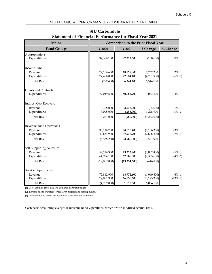| Major                          | <b>Comparison to the Prior Fiscal Year</b> |                          |                          |                  |
|--------------------------------|--------------------------------------------|--------------------------|--------------------------|------------------|
| <b>Fund Groups</b>             | FY 2020                                    | FY 2021                  | \$ Change                | $\%$ Change      |
| Appropriations<br>Expenditures | 97,356,100                                 | 97,217,500               | (138,600)                | $0\%$            |
| Income Fund                    |                                            |                          |                          |                  |
| Revenue<br>Expenditures        | 77,166,600<br>77,466,000                   | 78,928,800<br>72,684,100 | 1,762,200<br>(4,781,900) | 2%<br>$-6\%$ (1) |
| Net Result                     | (299, 400)                                 | 6,244,700                | 6,544,100                |                  |
| <b>Grants and Contracts</b>    |                                            |                          |                          |                  |
| Expenditures                   | 77,019,600                                 | 80,083,200               | 3,063,600                | 4%               |
| <b>Indirect Cost Recovery</b>  |                                            |                          |                          |                  |
| Revenue                        | 3,308,000                                  | 3,273,000                | (35,000)                 | $-1\, \%$        |
| Expenditures                   | 3,025,000                                  | 4,253,900                | 1,228,900                | $41\%$ (2)       |
| Net Result                     | 283,000                                    | (980, 900)               | (1,263,900)              |                  |
| Revenue Bond Operations        |                                            |                          |                          |                  |
| Revenue                        | 35,116,700                                 | 34,010,400               | (1, 106, 300)            | $-3%$            |
| Expenditures                   | 40,654,900                                 | 37,976,700               | (2,678,200)              | $-7\%$ (3)       |
| Net Result                     | (5,538,200)                                | (3,966,300)              | 1,571,900                |                  |
| Self-Supporting Activities     |                                            |                          |                          |                  |
| Revenue                        | 52,116,300                                 | 49,313,900               | (2,802,400)              | $-5\%$ (3)       |
| Expenditures                   | 64,924,100                                 | 62,568,500               | (2,355,600)              | $-4\%$ (3)       |
| Net Result                     | (12,807,800)                               | (13,254,600)             | (446, 800)               |                  |
| Service Departments            |                                            |                          |                          |                  |
| Revenue                        | 72,812,900                                 | 68,772,100               | (4,040,800)              | $-6\%$ (3)       |
| Expenditures                   | 77,081,900                                 | 66,956,600               | (10, 125, 300)           | $-13\%$ (3)      |
| Net Result                     | (4,269,000)                                | 1,815,500                | 6,084,500                |                  |

## **SIU Carbondale Statement of Financial Performance for Fiscal Year 2021**

(1) Decrease in order to achieve a balanced annual budget.

(2) Increase due to transfers for research projects and startup funds.

(3) Decrease due to decreased activity as a result of the pandemic.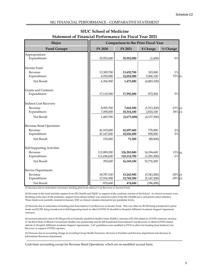| Major                          |                         | <b>Comparison to the Prior Fiscal Year</b> |                      |                     |  |
|--------------------------------|-------------------------|--------------------------------------------|----------------------|---------------------|--|
| <b>Fund Groups</b>             | FY 2020                 | FY 2021                                    | \$ Change            | % Change            |  |
| Appropriations<br>Expenditures | 35,953,600              | 35,952,000                                 | (1,600)              | $0\%$               |  |
| Income Fund                    |                         |                                            |                      |                     |  |
| Revenue<br>Expenditures        | 13,309,700<br>6,952,800 | 13,492,700<br>12,018,900                   | 183,000<br>5,066,100 | $1\%$<br>$73\%$ (1) |  |
| Net Result                     | 6,356,900               | 1,473,800                                  | (4,883,100)          |                     |  |
| <b>Grants and Contracts</b>    |                         |                                            |                      |                     |  |
| Expenditures                   | 17,119,500              | 17,992,000                                 | 872,500              | 5%                  |  |
| <b>Indirect Cost Recovery</b>  |                         |                                            |                      |                     |  |
| Revenue                        | 8,955,700               | 7,642,500                                  | (1,313,200)          | $-15\%$ (2)         |  |
| Expenditures                   | 7,490,000               | 10,314,100                                 | 2,824,100            | $38\%$ (3)          |  |
| Net Result                     | 1,465,700               | (2,671,600)                                | (4, 137, 300)        |                     |  |
| Revenue Bond Operations        |                         |                                            |                      |                     |  |
| Revenue                        | 41,319,600              | 42,097,600                                 | 778,000              | $2\%$               |  |
| Expenditures                   | 41,167,600              | 42,026,400                                 | 858,800              | 2%                  |  |
| Net Result                     | 152,000                 | 71,200                                     | (80, 800)            |                     |  |
| Self-Supporting Activities     |                         |                                            |                      |                     |  |
| Revenue                        | 112,089,200             | 126,283,800                                | 14,194,600           | $13\%$ (4)          |  |
| Expenditures                   | 111,696,600             | 110,114,700                                | (1,581,900)          | $-1%$               |  |
| Net Result                     | 392,600                 | 16,169,100                                 | 15,776,500           |                     |  |
| <b>Service Departments</b>     |                         |                                            |                      |                     |  |
| Revenue                        | 18,787,100              | 13,243,900                                 | (5,543,200)          | $-30\%$ (5)         |  |
| Expenditures                   | 17,916,500              | 12,769,300                                 | (5, 147, 200)        | $-29\%$ (5)         |  |
| Net Result                     | 870,600                 | 474,600                                    | (396,000)            |                     |  |

## **SIUC School of Medicine Statement of Financial Performance for Fiscal Year 2021**

(1) Increase due to restoration of primary funding plan from Indirect Cost Recovery to Income Fund.

(2) Revenue in this fund includes support from SIU Health and FQHC in support of the academic mission of the School. As clinical revenues were declining at the start of the pandemic, support from clinical dollars was reduced as part of the SIU HealthCare's cash preservation initiative. Those funds were partially restored in January 2021 as clinical volumes returned to pre-pandemic levels.

(3) Decrease due to restoration of funding plan from Indirect Cost Recovery to Income Fund. This was offset by \$6.5M being transferred to plant funds and \$3.2M being transferred to Self-Supporting funds to offset COVID-19 shortfall in Hospital Affiliated Academic Support Agreement contracts.

(4) Increase primarily due to \$5.5M growth in Federally Qualified Health Center (FQHC), increase of \$1.5M related to COVID contracts, increase of \$2.4M in State of Illinois Correctional Health Care partnership and \$3.2M transferred from Indirect Cost Recovery to offset COVID related deficits in Hospital Affiliated Academic Support Agreements. LAC guidelines were modified in FY21 to allow for funding from Indirect Cost Recovery to support COVID expenses.

(5) Decrease due to accounting change in recording Group Health Insurance, decrease in Facilities and Services department and decrease in Information Resources department.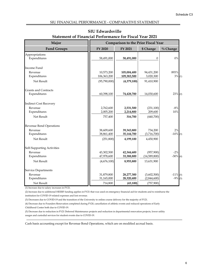| Major<br><b>Comparison to the Prior Fiscal Year</b> |                           |                            |                         |                   |
|-----------------------------------------------------|---------------------------|----------------------------|-------------------------|-------------------|
| <b>Fund Groups</b>                                  | FY 2020                   | FY 2021                    | \$ Change               | $\%$ Change       |
| Appropriations<br>Expenditures                      | 58,491,000                | 58,491,000                 | $\theta$                | $0\%$             |
| Income Fund                                         |                           |                            |                         |                   |
| Revenue<br>Expenditures                             | 10,573,200<br>106,363,200 | 105,004,400<br>109,383,500 | 94,431,200<br>3,020,300 | 893%<br>$3\%$ (1) |
| Net Result                                          | (95,790,000)              | (4,379,100)                | 91,410,900              |                   |
| <b>Grants and Contracts</b>                         |                           |                            |                         |                   |
| Expenditures                                        | 60,398,100                | 74,428,700                 | 14,030,600              | $23\%$ (2)        |
| <b>Indirect Cost Recovery</b>                       |                           |                            |                         |                   |
| Revenue                                             | 2,762,600                 | 2,531,500                  | (231, 100)              | $-8%$             |
| Expenditures                                        | 2,005,200                 | 2,214,800                  | 209,600                 | 10%               |
| Net Result                                          | 757,400                   | 316,700                    | (440,700)               |                   |
| Revenue Bond Operations                             |                           |                            |                         |                   |
| Revenue                                             | 38,609,600                | 39,343,800                 | 734,200                 | 2%                |
| Expenditures                                        | 38,861,400                | 35,144,700                 | (3,716,700)             | $-10\%$ (3)       |
| Net Result                                          | (251, 800)                | 4,199,100                  | 4,450,900               |                   |
| Self-Supporting Activities                          |                           |                            |                         |                   |
| Revenue                                             | 43,302,500                | 42,344,600                 | (957,900)               | $-2%$             |
| Expenditures                                        | 47,978,600                | 33,388,800                 | (14,589,800)            | $-30\%$ (4)       |
| Net Result                                          | (4,676,100)               | 8,955,800                  | 13,631,900              |                   |
| <b>Service Departments</b>                          |                           |                            |                         |                   |
| Revenue                                             | 31,879,800                | 28,277,300                 | (3,602,500)             | $-11\%$ (5)       |
| Expenditures                                        | 31,165,000                | 28,320,400                 | (2,844,600)             | $-9\%$ (5)        |
| Net Result                                          | 714,800                   | (43, 100)                  | (757, 900)              |                   |

## **SIU Edwardsville Statement of Financial Performance for Fiscal Year 2021**

(1) Increase due to salary increases in FY21.

(2) Increase due to additional HEERF funding applies in FY21 that was used on emergency financial aid for students and to reimburse the institution for COVID-19 related expenses and lost revenue.

(3) Decreases due to COVID-19 and the transition of the University to online course delivery for the majority of FY21.

(4) Decrease due to Founders Renovation completed during FY20, cancellation of athletic events and reduced operations of Early Childhood Center both due to COVID-19.

(5) Decrease due to reduction in FY21 Deferred Maintenance projects and reduction in departmental renovation projects, lower utility usages and custodial services for student events due to COVID-19.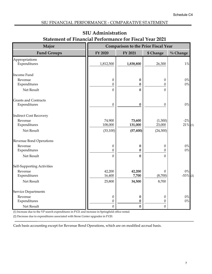## SIU FINANCIAL PERFORMANCE - COMPARATIVE STATEMENT

| Major                                       | <b>Comparison to the Prior Fiscal Year</b> |                  |                       |                |
|---------------------------------------------|--------------------------------------------|------------------|-----------------------|----------------|
| <b>Fund Groups</b>                          | FY 2020                                    | FY 2021          | \$ Change             | $\%$ Change    |
| Appropriations<br>Expenditures              | 1,812,500                                  | 1,838,800        | 26,300                | $1\%$          |
| Income Fund                                 |                                            |                  |                       |                |
| Revenue<br>Expenditures                     | $\boldsymbol{0}$<br>$\boldsymbol{0}$       | 0<br>0           | $\boldsymbol{0}$<br>0 | $0\%$<br>$0\%$ |
| Net Result                                  | $\mathbf{0}$                               | $\bf{0}$         | 0                     |                |
| <b>Grants and Contracts</b><br>Expenditures | $\boldsymbol{0}$                           | $\boldsymbol{0}$ | 0                     | $0\%$          |
| <b>Indirect Cost Recovery</b><br>Revenue    | 74,900                                     | 73,600           | (1,300)               | $-2\%$         |
| Expenditures                                | 108,000                                    | 131,000          | 23,000                | $21\%$ (1)     |
| Net Result                                  | (33, 100)                                  | (57, 400)        | (24, 300)             |                |
| <b>Revenue Bond Operations</b>              |                                            |                  |                       |                |
| Revenue                                     | $\boldsymbol{0}$                           | 0                | 0                     | $0\%$          |
| Expenditures                                | $\theta$                                   | 0                | $\theta$              | $0\%$          |
| Net Result                                  | $\mathbf{0}$                               | $\bf{0}$         | $\Omega$              |                |
| Self-Supporting Activities                  |                                            |                  |                       |                |
| Revenue                                     | 42,200                                     | 42,200           | 0                     | $0\%$          |
| Expenditures<br>Net Result                  | 16,400<br>25,800                           | 7,700<br>34,500  | (8,700)<br>8,700      | $-53\%$ (2)    |
|                                             |                                            |                  |                       |                |
| Service Departments                         |                                            |                  |                       |                |
| Revenue                                     | $\boldsymbol{0}$                           | 0                | 0                     | $0\%$          |
| Expenditures                                | $\boldsymbol{0}$                           | 0                | 0                     | $0\%$          |
| Net Result                                  | $\mathbf{0}$                               | $\bf{0}$         | $\boldsymbol{0}$      |                |

## **SIU Administration Statement of Financial Performance for Fiscal Year 2021**

(1) Increase due to the VP search expenditures in FY21 and increase in Springfield office rental.

(2) Decrease due to expenditures associated with Stone Center upgrades in FY20.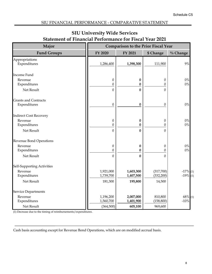## SIU FINANCIAL PERFORMANCE - COMPARATIVE STATEMENT

| Major                                       |                                      | <b>Comparison to the Prior Fiscal Year</b> |                                      |                              |  |
|---------------------------------------------|--------------------------------------|--------------------------------------------|--------------------------------------|------------------------------|--|
| <b>Fund Groups</b>                          | FY 2020                              | FY 2021                                    | \$ Change                            | $\%$ Change                  |  |
| Appropriations<br>Expenditures              | 1,286,400                            | 1,398,300                                  | 111,900                              | 9%                           |  |
| Income Fund                                 |                                      |                                            |                                      |                              |  |
| Revenue<br>Expenditures                     | $\boldsymbol{0}$<br>$\boldsymbol{0}$ | $\boldsymbol{0}$<br>$\boldsymbol{0}$       | $\boldsymbol{0}$<br>$\boldsymbol{0}$ | $0\%$<br>$0\%$               |  |
| Net Result                                  | $\overline{0}$                       | $\bf{0}$                                   | $\mathbf{0}$                         |                              |  |
| <b>Grants and Contracts</b><br>Expenditures | $\boldsymbol{0}$                     | $\bf{0}$                                   | $\boldsymbol{0}$                     | $0\%$                        |  |
| <b>Indirect Cost Recovery</b>               |                                      |                                            |                                      |                              |  |
| Revenue<br>Expenditures                     | $\boldsymbol{0}$<br>$\boldsymbol{0}$ | $\boldsymbol{0}$<br>$\mathbf{0}$           | $\theta$<br>0                        | $0\%$<br>$0\%$               |  |
| Net Result                                  | $\mathbf{0}$                         | $\bf{0}$                                   | $\mathbf{0}$                         |                              |  |
| Revenue Bond Operations                     |                                      |                                            |                                      |                              |  |
| Revenue<br>Expenditures                     | $\boldsymbol{0}$<br>$\boldsymbol{0}$ | $\bf{0}$<br>$\bf{0}$                       | $\boldsymbol{0}$<br>$\theta$         | $0\%$<br>$0\%$               |  |
| Net Result                                  | $\mathbf{0}$                         | $\mathbf{0}$                               | $\Omega$                             |                              |  |
| Self-Supporting Activities                  |                                      |                                            |                                      |                              |  |
| Revenue<br>Expenditures                     | 1,921,000<br>1,739,700               | 1,603,300<br>1,407,500                     | (317,700)<br>(332, 200)              | $-17%$<br>(1)<br>$-19\%$ (1) |  |
| Net Result                                  | 181,300                              | 195,800                                    | 14,500                               |                              |  |
| Service Departments                         |                                      |                                            |                                      |                              |  |
| Revenue                                     | 1,196,200                            | 2,007,000                                  | 810,800                              | $68\%$ (1)                   |  |
| Expenditures                                | 1,560,700                            | 1,401,900                                  | (158, 800)                           | $-10%$                       |  |
| Net Result                                  | (364, 500)                           | 605,100                                    | 969,600                              |                              |  |

## **SIU University Wide Services Statement of Financial Performance for Fiscal Year 2021**

(1) Decrease due to the timing of reimbursements/expenditures.